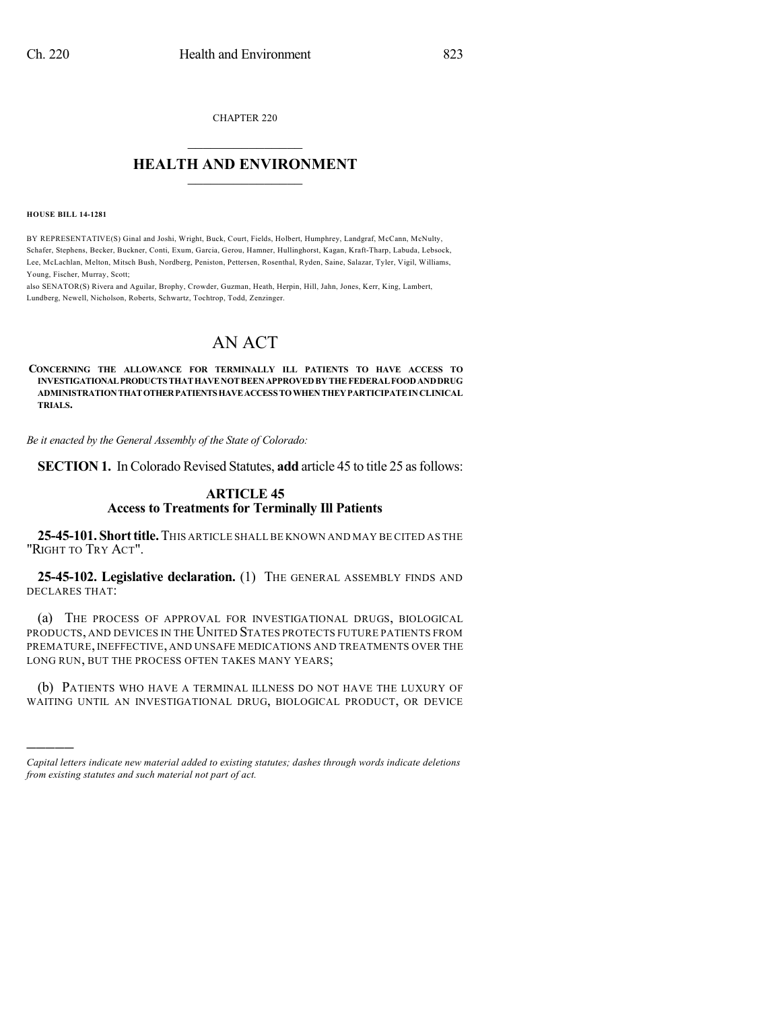CHAPTER 220

## $\mathcal{L}_\text{max}$  . The set of the set of the set of the set of the set of the set of the set of the set of the set of the set of the set of the set of the set of the set of the set of the set of the set of the set of the set **HEALTH AND ENVIRONMENT**  $\_$

**HOUSE BILL 14-1281**

)))))

BY REPRESENTATIVE(S) Ginal and Joshi, Wright, Buck, Court, Fields, Holbert, Humphrey, Landgraf, McCann, McNulty, Schafer, Stephens, Becker, Buckner, Conti, Exum, Garcia, Gerou, Hamner, Hullinghorst, Kagan, Kraft-Tharp, Labuda, Lebsock, Lee, McLachlan, Melton, Mitsch Bush, Nordberg, Peniston, Pettersen, Rosenthal, Ryden, Saine, Salazar, Tyler, Vigil, Williams, Young, Fischer, Murray, Scott;

also SENATOR(S) Rivera and Aguilar, Brophy, Crowder, Guzman, Heath, Herpin, Hill, Jahn, Jones, Kerr, King, Lambert, Lundberg, Newell, Nicholson, Roberts, Schwartz, Tochtrop, Todd, Zenzinger.

## AN ACT

**CONCERNING THE ALLOWANCE FOR TERMINALLY ILL PATIENTS TO HAVE ACCESS TO INVESTIGATIONALPRODUCTS THATHAVENOTBEENAPPROVEDBYTHEFEDERALFOODANDDRUG ADMINISTRATIONTHATOTHERPATIENTSHAVEACCESS TOWHENTHEYPARTICIPATEINCLINICAL TRIALS.**

*Be it enacted by the General Assembly of the State of Colorado:*

**SECTION 1.** In Colorado Revised Statutes, **add** article 45 to title 25 as follows:

## **ARTICLE 45 Access to Treatments for Terminally Ill Patients**

**25-45-101. Shorttitle.**THIS ARTICLE SHALL BE KNOWN AND MAY BE CITED AS THE "RIGHT TO TRY ACT".

**25-45-102. Legislative declaration.** (1) THE GENERAL ASSEMBLY FINDS AND DECLARES THAT:

(a) THE PROCESS OF APPROVAL FOR INVESTIGATIONAL DRUGS, BIOLOGICAL PRODUCTS, AND DEVICES IN THE UNITED STATES PROTECTS FUTURE PATIENTS FROM PREMATURE, INEFFECTIVE, AND UNSAFE MEDICATIONS AND TREATMENTS OVER THE LONG RUN, BUT THE PROCESS OFTEN TAKES MANY YEARS;

(b) PATIENTS WHO HAVE A TERMINAL ILLNESS DO NOT HAVE THE LUXURY OF WAITING UNTIL AN INVESTIGATIONAL DRUG, BIOLOGICAL PRODUCT, OR DEVICE

*Capital letters indicate new material added to existing statutes; dashes through words indicate deletions from existing statutes and such material not part of act.*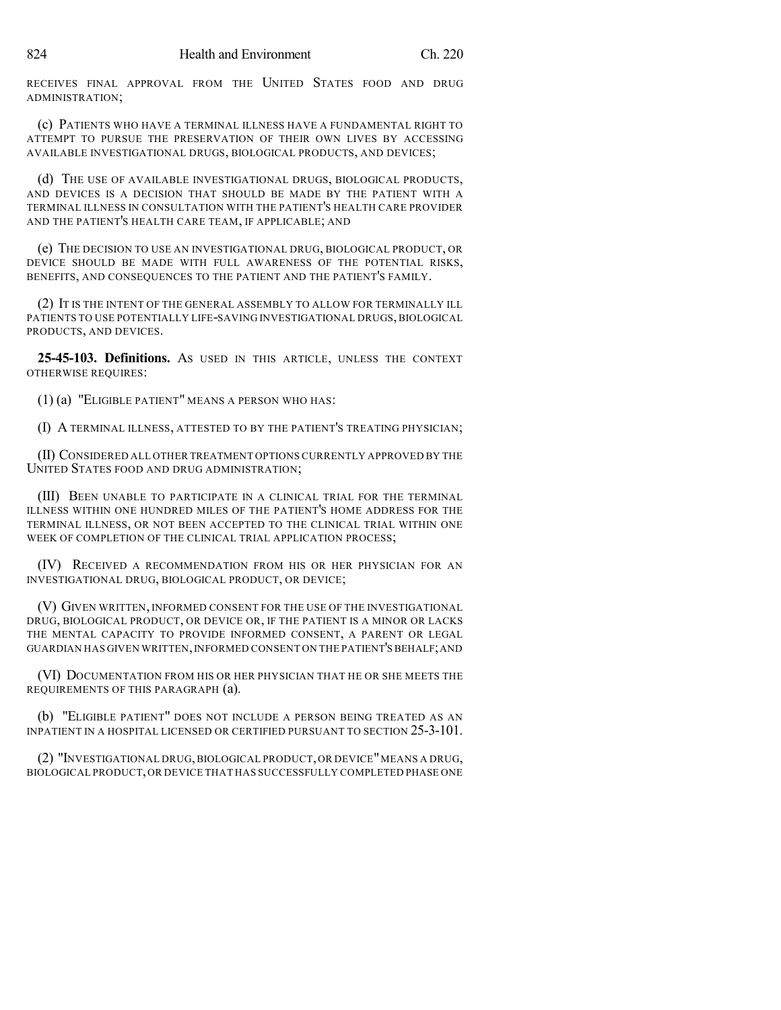RECEIVES FINAL APPROVAL FROM THE UNITED STATES FOOD AND DRUG ADMINISTRATION;

(c) PATIENTS WHO HAVE A TERMINAL ILLNESS HAVE A FUNDAMENTAL RIGHT TO ATTEMPT TO PURSUE THE PRESERVATION OF THEIR OWN LIVES BY ACCESSING AVAILABLE INVESTIGATIONAL DRUGS, BIOLOGICAL PRODUCTS, AND DEVICES;

(d) THE USE OF AVAILABLE INVESTIGATIONAL DRUGS, BIOLOGICAL PRODUCTS, AND DEVICES IS A DECISION THAT SHOULD BE MADE BY THE PATIENT WITH A TERMINAL ILLNESS IN CONSULTATION WITH THE PATIENT'S HEALTH CARE PROVIDER AND THE PATIENT'S HEALTH CARE TEAM, IF APPLICABLE; AND

(e) THE DECISION TO USE AN INVESTIGATIONAL DRUG, BIOLOGICAL PRODUCT, OR DEVICE SHOULD BE MADE WITH FULL AWARENESS OF THE POTENTIAL RISKS, BENEFITS, AND CONSEQUENCES TO THE PATIENT AND THE PATIENT'S FAMILY.

(2) IT IS THE INTENT OF THE GENERAL ASSEMBLY TO ALLOW FOR TERMINALLY ILL PATIENTS TO USE POTENTIALLY LIFE-SAVING INVESTIGATIONAL DRUGS, BIOLOGICAL PRODUCTS, AND DEVICES.

**25-45-103. Definitions.** AS USED IN THIS ARTICLE, UNLESS THE CONTEXT OTHERWISE REQUIRES:

(1) (a) "ELIGIBLE PATIENT" MEANS A PERSON WHO HAS:

(I) A TERMINAL ILLNESS, ATTESTED TO BY THE PATIENT'S TREATING PHYSICIAN;

(II) CONSIDERED ALL OTHER TREATMENT OPTIONS CURRENTLY APPROVED BY THE UNITED STATES FOOD AND DRUG ADMINISTRATION;

(III) BEEN UNABLE TO PARTICIPATE IN A CLINICAL TRIAL FOR THE TERMINAL ILLNESS WITHIN ONE HUNDRED MILES OF THE PATIENT'S HOME ADDRESS FOR THE TERMINAL ILLNESS, OR NOT BEEN ACCEPTED TO THE CLINICAL TRIAL WITHIN ONE WEEK OF COMPLETION OF THE CLINICAL TRIAL APPLICATION PROCESS;

(IV) RECEIVED A RECOMMENDATION FROM HIS OR HER PHYSICIAN FOR AN INVESTIGATIONAL DRUG, BIOLOGICAL PRODUCT, OR DEVICE;

(V) GIVEN WRITTEN, INFORMED CONSENT FOR THE USE OF THE INVESTIGATIONAL DRUG, BIOLOGICAL PRODUCT, OR DEVICE OR, IF THE PATIENT IS A MINOR OR LACKS THE MENTAL CAPACITY TO PROVIDE INFORMED CONSENT, A PARENT OR LEGAL GUARDIAN HAS GIVEN WRITTEN, INFORMED CONSENT ON THE PATIENT'S BEHALF; AND

(VI) DOCUMENTATION FROM HIS OR HER PHYSICIAN THAT HE OR SHE MEETS THE REQUIREMENTS OF THIS PARAGRAPH (a).

(b) "ELIGIBLE PATIENT" DOES NOT INCLUDE A PERSON BEING TREATED AS AN INPATIENT IN A HOSPITAL LICENSED OR CERTIFIED PURSUANT TO SECTION 25-3-101.

(2) "INVESTIGATIONAL DRUG,BIOLOGICAL PRODUCT,OR DEVICE"MEANS A DRUG, BIOLOGICAL PRODUCT,OR DEVICE THAT HAS SUCCESSFULLY COMPLETED PHASE ONE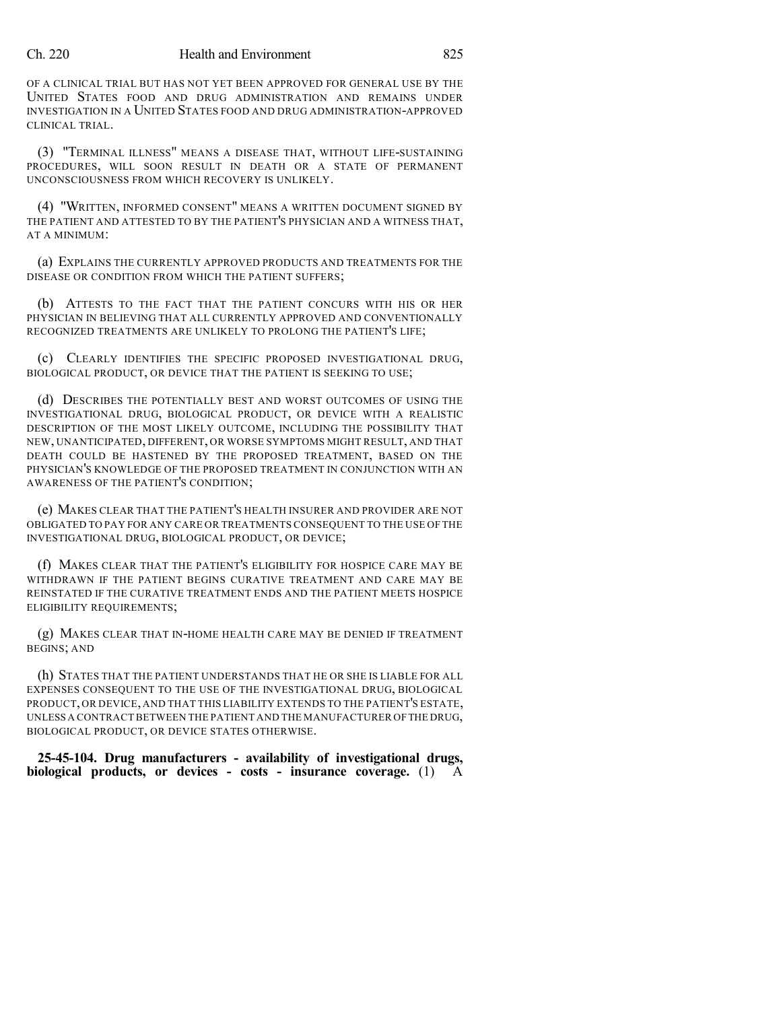## Ch. 220 Health and Environment 825

OF A CLINICAL TRIAL BUT HAS NOT YET BEEN APPROVED FOR GENERAL USE BY THE UNITED STATES FOOD AND DRUG ADMINISTRATION AND REMAINS UNDER INVESTIGATION IN A UNITED STATES FOOD AND DRUG ADMINISTRATION-APPROVED CLINICAL TRIAL.

(3) "TERMINAL ILLNESS" MEANS A DISEASE THAT, WITHOUT LIFE-SUSTAINING PROCEDURES, WILL SOON RESULT IN DEATH OR A STATE OF PERMANENT UNCONSCIOUSNESS FROM WHICH RECOVERY IS UNLIKELY.

(4) "WRITTEN, INFORMED CONSENT" MEANS A WRITTEN DOCUMENT SIGNED BY THE PATIENT AND ATTESTED TO BY THE PATIENT'S PHYSICIAN AND A WITNESS THAT, AT A MINIMUM:

(a) EXPLAINS THE CURRENTLY APPROVED PRODUCTS AND TREATMENTS FOR THE DISEASE OR CONDITION FROM WHICH THE PATIENT SUFFERS;

(b) ATTESTS TO THE FACT THAT THE PATIENT CONCURS WITH HIS OR HER PHYSICIAN IN BELIEVING THAT ALL CURRENTLY APPROVED AND CONVENTIONALLY RECOGNIZED TREATMENTS ARE UNLIKELY TO PROLONG THE PATIENT'S LIFE;

(c) CLEARLY IDENTIFIES THE SPECIFIC PROPOSED INVESTIGATIONAL DRUG, BIOLOGICAL PRODUCT, OR DEVICE THAT THE PATIENT IS SEEKING TO USE;

(d) DESCRIBES THE POTENTIALLY BEST AND WORST OUTCOMES OF USING THE INVESTIGATIONAL DRUG, BIOLOGICAL PRODUCT, OR DEVICE WITH A REALISTIC DESCRIPTION OF THE MOST LIKELY OUTCOME, INCLUDING THE POSSIBILITY THAT NEW, UNANTICIPATED, DIFFERENT, OR WORSE SYMPTOMS MIGHT RESULT, AND THAT DEATH COULD BE HASTENED BY THE PROPOSED TREATMENT, BASED ON THE PHYSICIAN'S KNOWLEDGE OF THE PROPOSED TREATMENT IN CONJUNCTION WITH AN AWARENESS OF THE PATIENT'S CONDITION;

(e) MAKES CLEAR THAT THE PATIENT'S HEALTH INSURER AND PROVIDER ARE NOT OBLIGATED TO PAY FOR ANY CARE OR TREATMENTS CONSEQUENT TO THE USE OF THE INVESTIGATIONAL DRUG, BIOLOGICAL PRODUCT, OR DEVICE;

(f) MAKES CLEAR THAT THE PATIENT'S ELIGIBILITY FOR HOSPICE CARE MAY BE WITHDRAWN IF THE PATIENT BEGINS CURATIVE TREATMENT AND CARE MAY BE REINSTATED IF THE CURATIVE TREATMENT ENDS AND THE PATIENT MEETS HOSPICE ELIGIBILITY REQUIREMENTS;

(g) MAKES CLEAR THAT IN-HOME HEALTH CARE MAY BE DENIED IF TREATMENT BEGINS; AND

(h) STATES THAT THE PATIENT UNDERSTANDS THAT HE OR SHE IS LIABLE FOR ALL EXPENSES CONSEQUENT TO THE USE OF THE INVESTIGATIONAL DRUG, BIOLOGICAL PRODUCT, OR DEVICE, AND THAT THIS LIABILITY EXTENDS TO THE PATIENT'S ESTATE, UNLESS A CONTRACT BETWEEN THE PATIENT AND THE MANUFACTURER OFTHE DRUG, BIOLOGICAL PRODUCT, OR DEVICE STATES OTHERWISE.

**25-45-104. Drug manufacturers - availability of investigational drugs, biological products, or devices - costs - insurance coverage.** (1) A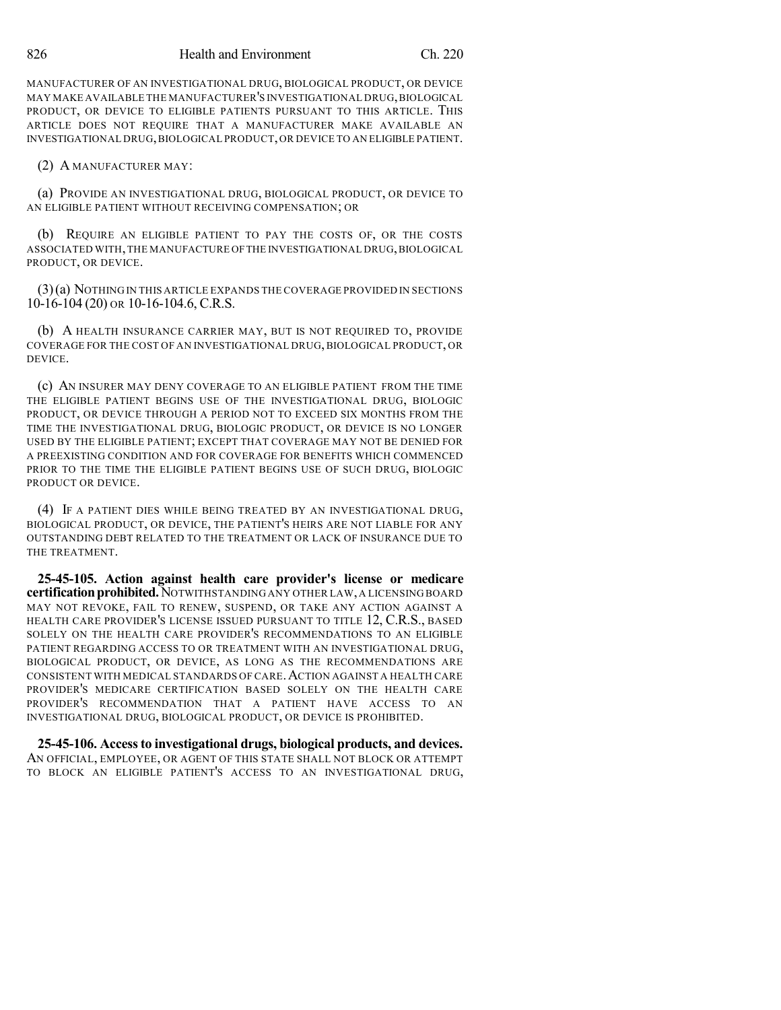MANUFACTURER OF AN INVESTIGATIONAL DRUG, BIOLOGICAL PRODUCT, OR DEVICE MAY MAKE AVAILABLE THE MANUFACTURER'S INVESTIGATIONAL DRUG,BIOLOGICAL PRODUCT, OR DEVICE TO ELIGIBLE PATIENTS PURSUANT TO THIS ARTICLE. THIS ARTICLE DOES NOT REQUIRE THAT A MANUFACTURER MAKE AVAILABLE AN INVESTIGATIONAL DRUG,BIOLOGICAL PRODUCT,OR DEVICE TO AN ELIGIBLE PATIENT.

(2) A MANUFACTURER MAY:

(a) PROVIDE AN INVESTIGATIONAL DRUG, BIOLOGICAL PRODUCT, OR DEVICE TO AN ELIGIBLE PATIENT WITHOUT RECEIVING COMPENSATION; OR

(b) REQUIRE AN ELIGIBLE PATIENT TO PAY THE COSTS OF, OR THE COSTS ASSOCIATED WITH,THE MANUFACTURE OFTHE INVESTIGATIONAL DRUG,BIOLOGICAL PRODUCT, OR DEVICE.

(3)(a) NOTHING IN THIS ARTICLE EXPANDS THE COVERAGE PROVIDED IN SECTIONS 10-16-104 (20) OR 10-16-104.6, C.R.S.

(b) A HEALTH INSURANCE CARRIER MAY, BUT IS NOT REQUIRED TO, PROVIDE COVERAGE FOR THE COST OF AN INVESTIGATIONAL DRUG, BIOLOGICAL PRODUCT, OR DEVICE.

(c) AN INSURER MAY DENY COVERAGE TO AN ELIGIBLE PATIENT FROM THE TIME THE ELIGIBLE PATIENT BEGINS USE OF THE INVESTIGATIONAL DRUG, BIOLOGIC PRODUCT, OR DEVICE THROUGH A PERIOD NOT TO EXCEED SIX MONTHS FROM THE TIME THE INVESTIGATIONAL DRUG, BIOLOGIC PRODUCT, OR DEVICE IS NO LONGER USED BY THE ELIGIBLE PATIENT; EXCEPT THAT COVERAGE MAY NOT BE DENIED FOR A PREEXISTING CONDITION AND FOR COVERAGE FOR BENEFITS WHICH COMMENCED PRIOR TO THE TIME THE ELIGIBLE PATIENT BEGINS USE OF SUCH DRUG, BIOLOGIC PRODUCT OR DEVICE.

(4) IF A PATIENT DIES WHILE BEING TREATED BY AN INVESTIGATIONAL DRUG, BIOLOGICAL PRODUCT, OR DEVICE, THE PATIENT'S HEIRS ARE NOT LIABLE FOR ANY OUTSTANDING DEBT RELATED TO THE TREATMENT OR LACK OF INSURANCE DUE TO THE TREATMENT.

**25-45-105. Action against health care provider's license or medicare certificationprohibited.**NOTWITHSTANDING ANY OTHER LAW,A LICENSING BOARD MAY NOT REVOKE, FAIL TO RENEW, SUSPEND, OR TAKE ANY ACTION AGAINST A HEALTH CARE PROVIDER'S LICENSE ISSUED PURSUANT TO TITLE 12, C.R.S., BASED SOLELY ON THE HEALTH CARE PROVIDER'S RECOMMENDATIONS TO AN ELIGIBLE PATIENT REGARDING ACCESS TO OR TREATMENT WITH AN INVESTIGATIONAL DRUG, BIOLOGICAL PRODUCT, OR DEVICE, AS LONG AS THE RECOMMENDATIONS ARE CONSISTENT WITH MEDICAL STANDARDS OF CARE.ACTION AGAINST A HEALTH CARE PROVIDER'S MEDICARE CERTIFICATION BASED SOLELY ON THE HEALTH CARE PROVIDER'S RECOMMENDATION THAT A PATIENT HAVE ACCESS TO AN INVESTIGATIONAL DRUG, BIOLOGICAL PRODUCT, OR DEVICE IS PROHIBITED.

**25-45-106. Accessto investigational drugs, biological products, and devices.** AN OFFICIAL, EMPLOYEE, OR AGENT OF THIS STATE SHALL NOT BLOCK OR ATTEMPT TO BLOCK AN ELIGIBLE PATIENT'S ACCESS TO AN INVESTIGATIONAL DRUG,